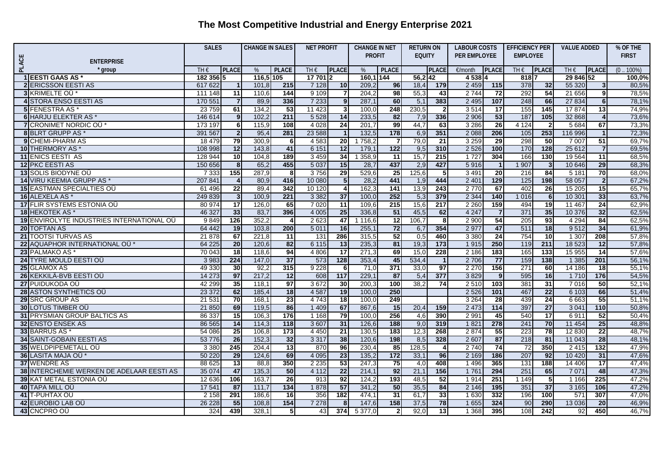|       |                                              | <b>SALES</b>         |                      | <b>CHANGE IN SALES</b><br><b>NET PROFIT</b> |                 |                   |                    | <b>CHANGE IN NET</b> |                  | <b>RETURN ON</b> |                       | <b>LABOUR COSTS</b> |                        | <b>EFFICIENCY PER</b> |                  | <b>VALUE ADDED</b> |                      | % OF THE         |
|-------|----------------------------------------------|----------------------|----------------------|---------------------------------------------|-----------------|-------------------|--------------------|----------------------|------------------|------------------|-----------------------|---------------------|------------------------|-----------------------|------------------|--------------------|----------------------|------------------|
|       |                                              |                      |                      |                                             |                 |                   |                    | <b>PROFIT</b>        |                  | <b>EQUITY</b>    |                       | PER EMPLOYEE        |                        | <b>EMPLOYEE</b>       |                  |                    |                      | <b>FIRST</b>     |
| PLACE | <b>ENTERPRISE</b>                            |                      |                      |                                             |                 |                   |                    |                      |                  |                  |                       |                     |                        |                       |                  |                    |                      |                  |
|       | ' group                                      | $TH \in$             | <b>PLACE</b>         | $\%$                                        | <b>PLACE</b>    | TH€               | <b>PLACE</b>       | $\%$                 | <b>PLACE</b>     |                  | <b>PLACE</b>          | €/month             | <b>PLACE</b>           | $TH \in$              | <b>IPLACE</b>    | TH $\epsilon$      | <b>PLACE</b>         | $.100\%)$<br>(0) |
|       | <b>1 EESTI GAAS AS</b>                       | 182 356 5<br>617 622 |                      | 116,5 105                                   |                 | 17 701 2          |                    | 160,1 144            |                  | 56.2 42          |                       | 4 5 3 8             |                        | 8187                  |                  | 29 846 52          |                      | 100,0%           |
|       | <b>2 ERICSSON EESTI AS</b>                   |                      | $\mathbf 1$          | 101.8                                       | 215<br>144      | 7 1 2 8           | 10                 | 209,2                | 96               | 18,4             | 179                   | 2 4 5 9             | 115                    | 378                   | 32               | 55 320             | 3 <sup>1</sup>       | 80,5%            |
|       | 3 KRIMELTE OU*                               | 111 148              | 11                   | 110,6                                       | 336             | 9 1 0 9           |                    | 204,2<br>287.1       | 98<br>60         | 55,3             | 43<br>383             | 2 7 4 4<br>2 4 9 5  | $\overline{72}$<br>107 | 292                   | 54<br>66         | 21 656<br>27 8 34  | 9                    | 78,5%            |
|       | <b>4 STORA ENSO EESTI AS</b>                 | 170 551              | $\overline{7}$       | 89.9                                        |                 | 7 2 3 3           | 9 <sub>l</sub>     |                      |                  | 5,1              |                       |                     |                        | 248                   |                  |                    | 6 <sup>1</sup>       | 78.1%            |
|       | <b>5</b> FENESTRA AS<br>6 HARJU ELEKTER AS * | 23 7 59<br>146 614   | 61<br>$\overline{9}$ | 134.2<br>102.2                              | 53<br>211       | 11 423<br>5 5 2 8 | $\mathbf{3}$<br>14 | 100,0<br>233,5       | 248<br>82        | 230,5<br>7,9     | $\overline{2}$<br>336 | 3514<br>2 9 0 6     | $\overline{17}$<br>53  | 155<br>187            | 145<br>105       | 17874<br>32 868    | 13<br>$\overline{4}$ | 74,9%<br>73,6%   |
|       | 7 CRONIMET NORDIC OU*                        | 173 197              | 6 <sup>1</sup>       | 115,9                                       | 108             | 4 0 28            | $\overline{24}$    | 201.7                | 99               | 44,7             | 63                    | 3 2 8 6             | $\overline{26}$        | 4 1 2 4               | $\overline{2}$   | 5 6 8 4            | 67                   | 73,3%            |
|       | 8 BLRT GRUPP AS *                            | 391 567              | 2                    | 95,4                                        | 281             | 23 5 88           |                    | 132,5                | $\frac{1}{178}$  | 6,9              | 351                   | 2 0 8 8             | 206                    | 105                   | 253              | 116 996            | 1                    | 72,3%            |
|       | <b>9</b> CHEMI-PHARM AS                      | 18 479               | 79                   | 300.9                                       | 6               | 4583              | 20                 | 1 7 5 8 .2           | 7                | 79,0             | $\overline{21}$       | 3 2 5 9             | 29                     | 298                   | 50               | 7 0 0 7            | 51                   | 69.7%            |
|       | 10 THERMORY AS *                             | 108 998              | 12                   | 143,8                                       | 41              | 6 1 5 1           | 12                 | 179,1                | $\overline{122}$ | 9,5              | 310                   | 2 5 2 6             | 100                    | 170                   | $\overline{128}$ | 25 612             | <b>7</b>             | 69,5%            |
|       | <b>11 ENICS EESTI AS</b>                     | 128 944              | 10                   | 104.8                                       | 189             | 3 4 5 9           | 34                 | 1 3 5 8 .9           | 11               | 15.7             | 215                   | 1 7 2 7             | 304                    | 166                   | 130              | 19 5 64            | $\overline{11}$      | 68.5%            |
|       | <b>12 PKC EESTI AS</b>                       | 150 656              | 8                    | 65,2                                        | 455             | 5 0 3 7           | 15                 | 28,7                 | 437              | 2,9              | 427                   | 5916                | $\mathbf{1}$           | 1 907                 | 3 <sub>l</sub>   | 10 646             | 29                   | 68.3%            |
|       | <b>13 SOLIS BIODYNE OU</b>                   | 7 3 3 3              | 155                  | 287.9                                       | 8               | 3756              | 29                 | 529,6                | $\overline{25}$  | 125,6            | 5                     | 3 4 9 1             | $\overline{20}$        | 216                   | 84               | 5 1 8 1            | 70                   | 68,0%            |
|       | 14 VIRU KEEMIA GRUPP AS *                    | 207 841              | $\overline{4}$       | 80,9                                        | 416             | 10 080            | 5 <sub>l</sub>     | 28,2                 | 441              | 1,9              | 444                   | 2 4 0 1             | 129                    | 125                   | 198              | 58 057             | 2 <sub>1</sub>       | 67,2%            |
|       | <b>15 EASTMAN SPECIALTIES OU</b>             | 61 496               | 22                   | 89,4                                        | 342             | 10 120            | 4                  | 162,3                | 141              | 13,9             | 243                   | 2770                | 67                     | 402                   | 26               | 15 20 5            | 15                   | 65,7%            |
|       | 16 ALEXELA AS*                               | 249 839              | دى                   | 100.9                                       | 221             | 3 3 8 2           | 37                 | 100,0                | 252              | 5,3              | 379                   | 2 3 4 4             | $140$                  | 1 0 1 6               | $6 \overline{6}$ | 10 301             | 33                   | 63,7%            |
|       | 17 FLIR SYSTEMS ESTONIA OÜ                   | 80 974               | 17                   | 126,0                                       | 65              | 7 0 20            | $\overline{11}$    | 109,6                | 215              | 15,6             | 217                   | 2 2 6 0             | 159                    | 494                   | 19               | 11 467             | 24                   | 62,9%            |
|       | 18 HEKOTEK AS*                               | 46 327               | 33                   | 83,7                                        | 396             | 4 0 0 5           | 25                 | 336,8                | 51               | 45,5             | 62                    | 4 2 4 7             | $\overline{7}$         | 371                   | 35               | 10 376             | 32                   | 62,5%            |
|       | 19 ENVIROLYTE INDUSTRIES INTERNATIONAL OU    | 9849                 | 126                  | 352,2                                       | $\overline{4}$  | 2 6 23            | 47                 | 1 1 1 6 , 6          | $\overline{12}$  | 106,7            | 8                     | 2 9 0 0             | 54                     | 205                   | 93               | 4 2 9 4            | 84                   | 62,5%            |
|       | 20 TOFTAN AS                                 | 64 442               | 19                   | 103,8                                       | 200             | 5 0 1 1           | 16                 | 255,1                | 72               | 6,7              | 354                   | 2 9 7 7             | 47                     | 511                   | 18               | 9512               | 34                   | 61,9%            |
|       | 21 TOOTSI TURVAS AS                          | 21 878               | 67                   | 221,8                                       | 11              | 131               | 286                | 315,5                | 52               | 0,5              | 460                   | 3 3 8 0             | $\overline{24}$        | 754                   | 10               | 1 3 0 7            | 208                  | 57,8%            |
|       | 22 AQUAPHOR INTERNATIONAL OU *               | 64 225               | 20                   | 120,6                                       | 82              | 6 1 1 5           | $\overline{13}$    | 235,3                | 81               | 19,3             | 173                   | 1915                | 250                    | 119                   | 211              | 18 5 23            | 12                   | 57,8%            |
|       | 23 PALMAKO AS*                               | 70 043               | $\overline{18}$      | 118,6                                       | 94              | 4 8 0 6           | $\overline{17}$    | 271,3                | 69               | 15,0             | 228                   | 2 186               | 183                    | 165                   | 133              | 15 955             | 14                   | 57,6%            |
|       | 24 TYRE MOULD EESTI OÜ                       | 3 9 8 3              | 224                  | 147,0                                       | $\overline{37}$ | 573               | $\frac{1}{28}$     | 353,4                | 45               | 534,4            | $\overline{1}$        | 2 706               | $\overline{77}$        | 159                   | 138              | 1 3 8 5            | 201                  | 56,1%            |
|       | 25 GLAMOX AS                                 | 49 330               | 30                   | 92,2                                        | 315             | 9 2 2 8           | -6                 | 71,0                 | 371              | 33,0             | 97                    | 2 2 7 0             | 156                    | 271                   | 60               | 14 18 6            | 18                   | 55,1%            |
|       | 26 KEKKILÄ-BVB EESTI OÜ                      | 14 273               | 97                   | 217,2                                       | $\overline{12}$ | 608               | 117                | 229,7                | 87               | 5,4              | $\overline{377}$      | 3829                | $\overline{9}$         | 595                   | 16               | 1 7 1 0            | 176                  | 54,5%            |
|       | 27 PUIDUKODA OÜ                              | 42 299               | 35                   | 118,1                                       | 97              | 3672              | 30                 | 200,3                | 100              | 38,2             | 74                    | 2 5 1 0             | 103                    | 381                   | 31               | 7016               | 50                   | 52,1%            |
|       | 28 ASTON SYNTHETICS OU                       | 23 372               | 62                   | 185,4                                       | 18              | 4 5 8 7           | 19                 | 100,0                | 250              |                  |                       | 2 5 2 6             | 101                    | 467                   | 22               | 6 103              | 66                   | 51,4%            |
|       | 29 SRC GROUP AS                              | 21 531               | 70                   | 168,1                                       | 23              | 4743              | 18                 | 100,0                | 249              |                  |                       | 3 2 6 4             | 28                     | 439                   | 24               | 6 6 63             | 55                   | 51,1%            |
|       | <b>30 LOTUS TIMBER OU</b>                    | 21 850               | 69                   | 119,5                                       | 86              | 1 4 0 9           | 67                 | 867,6                | 15               | 20,4             | 159                   | 2 4 7 3             | $\overline{114}$       | 397                   | 27               | 3 0 4 1            | 110                  | 50,8%            |
|       | 31 PRYSMIAN GROUP BALTICS AS                 | 86 337               | 15                   | 106,3                                       | 176             | 1 1 6 8           | 79                 | 100,0                | 256              | 4,6              | 390                   | 2 9 9 1             | 45                     | 540                   | 17               | 6911               | 52                   | 50,4%            |
|       | 32 ENSTO ENSEK AS                            | 86 565               | 14                   | 114,3                                       | 118             | 3 607             | 31                 | 126,6                | 188              | 9,0              | 319                   | 1821                | 278                    | 241                   | 70               | 11 4 54            | $\overline{25}$      | 48,8%            |
|       | 33 BARRUS AS                                 | 54 086               | 25                   | 106,8                                       | 173             | 4 4 5 0           | $\overline{21}$    | 130,5                | 183              | 12,3             | 268                   | 2 8 7 4             | $\overline{55}$        | 223                   | 78               | 12 8 30            | 22                   | 48,7%            |
|       | <b>34 SAINT-GOBAIN EESTI AS</b>              | 53 776               | 26                   | 152,3                                       | 32              | 3 3 1 7           | 38                 | 120,6                | 198              | 8,5              | 328                   | 2 607               | 87                     | 218                   | 81               | 11 043             | 28                   | 48,1%            |
|       | 35 WELDPIPEMETALL OU                         | 3 3 8 0              | 245                  | 204,4                                       | $\overline{13}$ | 870               | 96                 | 230,4                | 85               | 128,5            | $\overline{4}$        | 2 7 4 0             | $\overline{74}$        | $\overline{72}$       | 350              | 2415               | $\overline{132}$     | 47,9%            |
|       | 36 LASITA MAJA OÜ *                          | 50 220               | 29                   | 124.6                                       | 69              | 4 0 9 5           | $\overline{23}$    | 135,2                | 172              | 33,1             | 96                    | 2 1 6 9             | 186                    | 207                   | 92               | 10 4 20            | 31                   | 47,6%            |
|       | <b>37 WENDRE AS</b>                          | 88 625               | $\overline{13}$      | 88,8                                        | 350             | 2 2 3 5           | 53                 | 247,3                | 75               | 4,0              | 408                   | 1 4 9 6             | 365                    | 131                   | 188              | 14 40 6            | $\overline{17}$      | 47,4%            |
|       | 38 INTERCHEMIE WERKEN DE ADELAAR EESTI AS    | 35 074               | 47                   | 135,3                                       | 50              | 4 1 1 2           | $\overline{22}$    | 214.7                | 92               | 21,1             | 156                   | 1761                | 294                    | 251                   | 65               | 7 0 7 1            | 48                   | 47,3%            |
|       | <b>39 KAT METAL ESTONIA OÜ</b>               | 12 636               | 106                  | 163,7                                       | 26              | 913               | 92                 | 124.2                | 193              | 48,5             | 52                    | 1914                | 251                    | 1149                  | 5                | 1 1 6 6            | $\overline{225}$     | 47,2%            |
|       | 40 TAPA MILL OU                              | 17 541               | 87                   | 111,7                                       | 134             | 1878              | $-57$              | 341,2                | 50               | 35,5             | 84                    | 2 146               | 195                    | 351                   | 37               | 3 1 6 5            | 106                  | 47,2%            |
|       | 41 T-PUHTAX OÜ                               | 2158                 | 291                  | 186.6                                       | $\overline{16}$ | 356               | 182                | 474,1                | 31               | 61,7             | 33                    | 1 6 3 0             | 332                    | 196                   | 100              | 571                | 307                  | 47,0%            |
|       | 42 EUROBIO LAB OU                            | 26 228               | 55                   | 108,8                                       | 154             | 7 2 7 8           | 8                  | 147,6                | 158              | 37,5             | 78                    | 1 6 5 5             | 324                    | 90                    | 290              | 13 0 36            | $\overline{20}$      | 46,9%            |
|       | 43 CNCPRO OÜ                                 | 324                  | 439                  | 328.1                                       | $5\phantom{.0}$ | 43                | 374                | 5 377.0              | $\overline{2}$   | 92,0             | $\overline{13}$       | 1 3 6 8             | 395                    | 108                   | 242              | 92                 | 450                  | 46,7%            |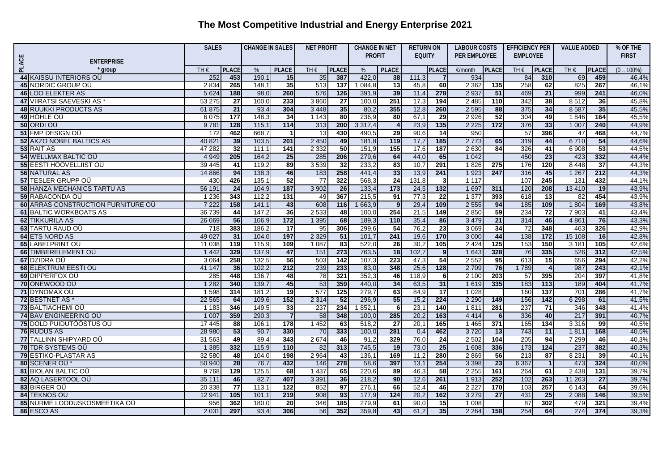|       |                                           | <b>SALES</b>  |                 | <b>CHANGE IN SALES</b><br><b>NET PROFIT</b> |                  |               |                   | <b>CHANGE IN NET</b> |                  |               | <b>RETURN ON</b> | <b>LABOUR COSTS</b> |                  | <b>EFFICIENCY PER</b> |                  | <b>VALUE ADDED</b> |                 | % OF THE     |
|-------|-------------------------------------------|---------------|-----------------|---------------------------------------------|------------------|---------------|-------------------|----------------------|------------------|---------------|------------------|---------------------|------------------|-----------------------|------------------|--------------------|-----------------|--------------|
|       |                                           |               |                 |                                             |                  |               |                   | <b>PROFIT</b>        |                  | <b>EQUITY</b> |                  | PER EMPLOYEE        |                  | <b>EMPLOYEE</b>       |                  |                    |                 | <b>FIRST</b> |
| PLACE | <b>ENTERPRISE</b>                         |               |                 |                                             |                  |               |                   |                      |                  |               |                  |                     |                  |                       |                  |                    |                 |              |
|       | group                                     | TH $\epsilon$ | <b>PLACE</b>    | %                                           | <b>PLACE</b>     | TH $\epsilon$ | <b>PLACE</b>      | %                    | <b>PLACE</b>     |               | <b>PLACE</b>     | €/month             | <b>PLACE</b>     | TH $\epsilon$         | <b>PLACE</b>     | TH $\epsilon$      | <b>PLACE</b>    | $(0.100\%)$  |
|       | 44 KAISSU INTERIORS OU                    | 252           | 453             | 190.7                                       | 15               | 35            | 387               | 422,0                | 38               | 111.3         | 7                | 934                 |                  | 84                    | 310              | 69                 | 459             | 46,4%        |
|       | <b>45 NORDIC GROUP OU</b>                 | 2 8 3 4       | 265             | 148,1                                       | 35               | 513           | 137               | 084,8                | 13               | 45,8          | 60               | 2 3 6 2             | 135              | 258                   | 62               | 825                | 267             | 46,1%        |
|       | <b>46 LOO ELEKTER AS</b>                  | 5 6 2 4       | 188             | 98,0                                        | 260              | 576           | $\frac{126}{ }$   | 391,9                | 39               | 11,4          | 278              | 2 9 3 7             | 51               | 469                   | $\overline{21}$  | 999                | 241             | 46,0%        |
|       | <b>47 VIIRATSI SAEVESKI AS</b>            | 53 275        | 27              | 100.0                                       | 233              | 3860          | $\overline{27}$   | 100.0                | 251              | 17,3          | 194              | 2 4 8 5             | $\overline{110}$ | 342                   | 38               | 8512               | 36              | 45.8%        |
|       | <b>48 RUUKKI PRODUCTS AS</b>              | 61 875        | $\overline{21}$ | 93,4                                        | 304              | 3 4 4 8       | 35                | 80,2                 | 355              | 12,8          | 260              | 2 5 9 5             | 88               | 375                   | 34               | 8587               | 35              | 45,5%        |
|       | 49 HÖHLE OU                               | 6 0 75        | 177             | 148.3                                       | 34               | 1143          | $\overline{80}$   | 236,9                | 80               | 67,1          | 29               | 2 9 2 6             | 52               | 304                   | 49               | 1846               | 164             | 45,5%        |
|       | 50 ORDI OÜ                                | 9781          | 128             | 115,1                                       | $114$            | 313           | 200               | 3317,4               | $\overline{4}$   | 23,9          | 135              | 2 2 2 5             | 172              | 376                   | 33               | 1 0 0 7            | 240             | 44,9%        |
|       | 51 FMP DESIGN OU                          | 172           | 462             | 668,7                                       | $\overline{1}$   | 13            | 430               | 490,5                | 29               | 90,6          | 14               | 950                 |                  | $\overline{57}$       | 396              | 47                 | 468             | 44,7%        |
|       | <b>52 AKZO NOBEL BALTICS AS</b>           | 40 821        | 39              | 103,5                                       | 201              | 2 4 5 0       | 49                | 181,8                | 119              | 17,7          | 185              | 2 7 7 3             | 65               | 319                   | 44               | 6710               | 54              | 44.6%        |
|       | 53 RAIT AS                                | 47 282        | 32              | 111,1                                       | $\overline{141}$ | 2 3 3 2       | 50                | 151,9                | 155              | 17,6          | 187              | 2 6 3 0             | 84               | 326                   | 41               | 6 9 0 8            | 53              | 44,5%        |
|       | <b>54 WELLMAX BALTIC OU</b>               | 4 9 4 9       | 205             | 164,2                                       | 25               | 285           | 206               | 279,6                | 64               | 44,0          | 65               | 1 0 4 2             |                  | 450                   | $\overline{23}$  | 423                | 332             | 44,4%        |
|       | <b>55 EESTI HÖÖVELLIIST OÜ</b>            | 39 445        | 41              | 119,2                                       | 89               | 3539          | 32                | 233,2                | 83               | 10,7          | 291              | 1826                | 275              | 176                   | 120              | 8 4 4 8            | $\overline{37}$ | 44,3%        |
|       | <b>56 NATURAL AS</b>                      | 14 866        | 94              | 138,3                                       | 46               | 183           | 258               | 441,4                | 33               | 13,9          | 241              | 1 9 2 3             | 247              | 316                   | 45               | 1 2 6 7            | 212             | 44,3%        |
|       | <b>57 TESLER GRUPP OU</b>                 | 430           | 426             | 135,1                                       | 52               | 77            | 322               | 568.3                | 24               | 131,8         | دن               | 1117                |                  | 107                   | 245              | 131                | 432             | 44.1%        |
|       | <b>58 HANZA MECHANICS TARTU AS</b>        | 56 191        | $\overline{24}$ | 104,9                                       | 187              | 3 9 0 2       | 26                | 133,4                | 173              | 24,5          | 132              | 1 6 9 7             | 311              | 120                   | 208              | 13 4 10            | 19              | 43,9%        |
|       | 59 RABACONDA OÜ                           | 1 2 3 6       | 343             | 112.2                                       | 131              | 49            | 367               | 215,5                | 91               | 77,3          | $\overline{22}$  | 1 3 7 7             | 393              | 618                   | 13               | 82                 | 454             | 43,9%        |
|       | <b>60 ARRAS CONSTRUCTION FURNITURE OU</b> | 7 2 2 2       | 158             | 141,1                                       | 43               | 608           | $\frac{116}{116}$ | 663,9                | 9                | 29,4          | 109              | 2 5 5 5             | 94               | $\frac{185}{2}$       | 109              | 1 804              | 169             | 43,8%        |
|       | <b>61 BALTIC WORKBOATS AS</b>             | 36 739        | 44              | 147.2                                       | 36               | 2 5 3 3       | 48                | 100,0                | 254              | 21,5          | 149              | 2850                | 59               | 234                   | $\overline{72}$  | 7 9 0 3            | $\overline{41}$ | 43,4%        |
|       | <b>62 TIKKURILA AS</b>                    | 26 069        | 56              | 106.9                                       | $\overline{172}$ | 1 3 9 5       | 68                | 189.3                | 110              | 35,4          | 86               | 3 4 7 9             | $\overline{21}$  | 314                   | 46               | 4 8 61             | 76              | 43.3%        |
|       | 63 TARTU RAUD OU                          | 718           | 383             | 186,2                                       | $\overline{17}$  | 95            | 306               | 299,6                | 54               | 76,2          | 23               | 3 0 6 9             | 34               | $\overline{72}$       | 348              | 463                | 326             | 42,9%        |
|       | 64 ETS NORD AS                            | 49 0 27       | $\overline{31}$ | 104.0                                       | 197              | 2 3 2 9       | $-51$             | 101,7                | 241              | 19,6          | 170              | 3 0 0 0             | 44               | 138                   | $\overline{172}$ | 15 108             | 16              | 42,8%        |
|       | 65 LABELPRINT OU                          | 11 038        | 119             | 115,9                                       | 109              | 1 0 8 7       | $\overline{83}$   | 522,0                | 26               | 30,2          | 105              | 2 4 2 4             | $\overline{125}$ | 153                   | 150              | 3181               | 105             | 42,6%        |
|       | 66 TIMBERELEMENT OU                       | 1 4 4 2       | 329             | 137,9                                       | 47               | 151           | 273               | 763,5                | $\overline{18}$  | 102,7         | 9                | 1 643               | 328              | 76                    | 335              | 526                | 312             | 42,5%        |
|       | 67 DZIDRA OÜ                              | 3 0 6 4       | 258             | 132,5                                       | 56               | 503           | 142               | 107,3                | $\overline{223}$ | 47,3          | 54               | 2 5 5 2             | $\overline{95}$  | 613                   | 15               | 656                | 294             | 42,2%        |
|       | <b>68 ELEKTRUM EESTI OÜ</b>               | 41 147        | 36              | 102,2                                       | 212              | 239           | 233               | 83,0                 | 348              | 25,6          | 128              | 2 7 0 9             | 76               | 1789                  | $\overline{4}$   | 987                | 243             | 42,1%        |
|       | 69 DIPPERFOX OU                           | 285           | 448             | 136.7                                       | 48               | 78            | 321               | 352,3                | 46               | 118,9         | 6                | 2 100               | 203              | 57                    | 395              | 204                | 397             | 41.8%        |
|       | <b>70 ONEWOOD OU</b>                      | 1 2 8 2       | 340             | 139,7                                       | 45               | 53            | 359               | 440,0                | 34               | 63,5          | 31               | 1 6 1 9             | 335              | 183                   | $\overline{113}$ | 189                | 404             | 41,7%        |
|       | 71 DYNOMAX OÜ                             | 1 5 9 8       | 314             | 181,2                                       | 19               | 577           | 125               | 279,7                | 63               | 84,9          | $\overline{17}$  | 1 0 28              |                  | 160                   | 137              | 701                | 286             | 41,7%        |
|       | 72 BESTNET AS                             | 22 5 65       | 64              | 109,6                                       | 152              | 2 3 1 4       | $\overline{52}$   | 296,9                | 55               | 15,2          | 224              | 2 2 9 0             | 149              | 156                   | $\frac{142}{2}$  | 6 298              | 61              | 41,5%        |
|       | 73 BALTIACHEMI OÜ                         | 1 183         | 346             | 149,5                                       | 33               | 237           | 234               | 1852,1               | 6                | 23,7          | 140              | 1811                | 281              | 237                   | 71               | 346                | 348             | 41,4%        |
|       | 74 BAV ENGINEERING OU                     | 1 0 0 7       | 359             | 290.3                                       | $\overline{7}$   | 58            | 348               | 100,0                | 285              | 20,2          | 163              | 4 4 1 4             | 6                | 336                   | 40               | 217                | 391             | 40,7%        |
|       | <b>75 DOLD PUIDUTÖÖSTUS OÜ</b>            | 17 445        | 88              | 106.1                                       | 178              | 1 4 5 2       | 63                | 518,2                | $\overline{27}$  | 20,1          | 165              | 1465                | 371              | 165                   | 134              | 3316               | 99              | 40,5%        |
|       | 76 RUDUS AS                               | 28 980        | 53              | 90,7                                        | 330              | 70            | 333               | 100,0                | 281              | 0,4           | 462              | 3720                | $\overline{13}$  | 743                   | 11               | 1811               | 168             | 40,5%        |
|       | 77 TALLINN SHIPYARD OÜ                    | 31 563        | 49              | 89,4                                        | 343              | 2674          | 46                | 91,2                 | 329              | 76,0          | 24               | 2 5 0 2             | 104              | 205                   | 94               | 7 2 9 9            | 46              | 40.3%        |
|       | 78 TDR SYSTEMS OU                         | 1385          | 332             | 115,9                                       | 110              | 82            | 313               | 745,5                | $\overline{19}$  | 73,0          | 25               | 1 608               | 336              | 173                   | 124              | 237                | 382             | 40,3%        |
|       | <b>79 ESTIKO-PLASTAR AS</b>               | 32 580        | 48              | 104.0                                       | 198              | 2 9 64        | 43                | 136,1                | 169              | 11.2          | 280              | 2869                | 56               | 213                   | 87               | 8 2 3 1            | 39              | 40,1%        |
|       | 80 SCENER OU                              | 50 940        | 28              | 76,7                                        | 432              | 146           | 278               | 58,6                 | 397              | 13,1          | 254              | 3 3 9 8             | $\overline{23}$  | 6 3 67                | $\mathbf{1}$     | 473                | 324             | 40.0%        |
|       | <b>81 BIOLAN BALTIC OU</b>                | 9768          | 129             | 125,5                                       | 68               | 1 4 3 7       | 65                | 220,6                | 89               | 46,3          | 58               | 2 2 5 5             | 161              | 264                   | 61               | 2 4 3 8            | 131             | 39,7%        |
|       | 82 AQ LASERTOOL OU                        | 35 111        | 46              | 82,7                                        | 407              | 3 3 9 1       | 36                | 218,2                | 90               | 12,6          | 261              | 1913                | 252              | 102                   | 263              | 11 263             | 27              | 39,7%        |
|       | 83 BIRGER OU                              | 20 338        | 77              | 113,1                                       | 122              | 852           | 97                | 276,1                | 66               | 52,4          | 46               | 2 2 2 7             | 170              | 103                   | 257              | 6 1 4 3            | 64              | 39,6%        |
|       | 84 TEKNOS OÜ                              | 12 941        | 105             | 101.1                                       | 219              | 908           | 93                | 177.9                | $\overline{124}$ | 20,2          | 162              | 3 2 7 9             | 27               | 431                   | 25               | 2 0 8 8            | 146             | 39,5%        |
|       | 85 NURME LOODUSKOSMEETIKA OÜ              | 956           | 362             | 180.0                                       | 20               | 346           | 185               | 279,9                | 61               | 90.0          | 15               | 1 0 0 8             |                  | 87                    | 302              | 479                | 321             | 39.4%        |
|       | 86 ESCO AS                                | 2 0 3 1       | 297             | 93.4                                        | 306              | 56            | 352               | 359,8                | 43               | 61,2          | 35               | 2 2 6 4             | 158              | 254                   | 64               | 274                | 374             | 39,3%        |
|       |                                           |               |                 |                                             |                  |               |                   |                      |                  |               |                  |                     |                  |                       |                  |                    |                 |              |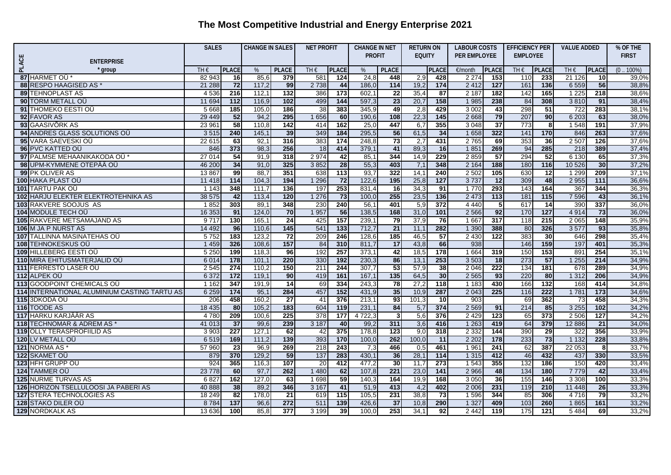|              |                                              |                     | <b>SALES</b>    |               | <b>CHANGE IN SALES</b> |                            | <b>NET PROFIT</b> |                | <b>CHANGE IN NET</b> | <b>RETURN ON</b> |                   | <b>LABOUR COSTS</b> |                  | <b>EFFICIENCY PER</b> |              | <b>VALUE ADDED</b>        |              | % OF THE       |
|--------------|----------------------------------------------|---------------------|-----------------|---------------|------------------------|----------------------------|-------------------|----------------|----------------------|------------------|-------------------|---------------------|------------------|-----------------------|--------------|---------------------------|--------------|----------------|
|              |                                              |                     |                 |               |                        |                            |                   | <b>PROFIT</b>  |                      | <b>EQUITY</b>    |                   | PER EMPLOYEE        |                  | <b>EMPLOYEE</b>       |              |                           |              | <b>FIRST</b>   |
| <b>PLACE</b> | <b>ENTERPRISE</b>                            |                     |                 |               |                        |                            |                   |                |                      |                  |                   |                     |                  |                       |              |                           |              |                |
|              | group                                        | $TH \in$            | <b>PLACE</b>    | $\%$          | <b>PLACE</b>           | TH $\epsilon$              | <b>PLACE</b>      | %              | <b>PLACE</b>         |                  | <b>PLACE</b>      | €/month             | <b>PLACE</b>     | TH $\epsilon$         | <b>PLACE</b> | TH€                       | <b>PLACE</b> | $(0100\%)$     |
|              | 87 HARMET OÜ*                                | 82 943              | 16              | 85,6          | 379                    | 581                        | 124               | 24,8           | 448                  | 2,9              | 428               | 2 2 7 4             | 153              | 110                   | 233          | 21 1 26                   | 10           | 39.0%          |
|              | 88 RESPO HAAGISED AS *                       | 21 288              | 72              | 117,2         | 99                     | 2 7 3 8                    | 44                | 186,0          | 114                  | 19,2             | 174               | 2 4 1 2             | $\overline{127}$ | 161                   | 136          | 6 5 5 9                   | 56           | 38,8%          |
|              | <b>89 TEHNOPLAST AS</b>                      | 4536                | 216             | 112,1         | $\overline{132}$       | 386                        | 173               | 602,1          | 22<br>23             | 35,4             | 87<br>158         | 2 1 8 7             | 182              | 142                   | 165          | 1 2 2 5                   | 218          | 38,6%          |
|              | <b>90 TORM METALL OU</b>                     | 11 694              | 112             | 116,9         | 102                    | 499                        | 144               | 597,3          |                      | 20,7             |                   | 1 9 8 5             | 238              | 84                    | 308          | 3810                      | 91           | 38,4%          |
|              | 91 THOMEKO EESTI OÜ<br>92 FAVOR AS           | 5 6 6 8<br>29 4 4 9 | 185<br>52       | 105,0<br>94,2 | 186<br>295             | $\overline{38}$<br>1 6 5 6 | 383<br>60         | 345,9<br>190,6 | 49<br>108            | 2,8<br>22,3      | 429<br>145        | 3 0 0 2<br>2668     | 43<br>79         | 298<br>207            | 51<br>90     | $\overline{722}$<br>6 203 | 283<br>63    | 38,1%<br>38.0% |
|              | 93 GAASIVÕRK AS                              | 23 961              | 58              | 110.8         | 142                    | 414                        | 162               | 25,0           | 447                  | 6,7              | 355               | 3 0 4 8             | $\overline{37}$  | 773                   | 8            | 1 5 4 8                   | 191          | 37,9%          |
|              | 94 ANDRES GLASS SOLUTIONS OU                 |                     | 240             | 145,1         | 39                     | 349                        | 184               | 295,5          | 56                   | 61,5             | 34                | 1 6 5 8             | 322              | 141                   | 170          |                           | 263          | 37,6%          |
|              | 95 VARA SAEVESKI OÜ                          | 3515<br>22 615      | 63              | 92.1          | 316                    | 383                        | 174               | 248,8          | 73                   | 2,7              | 431               | 2765                | 69               | 353                   | 36           | 846<br>2 507              | 126          | 37.6%          |
|              | 96 PVC KATTED OU                             | 846                 | 373             | 98,3          | 256                    | 18                         | 414               | 379,1          | 41                   | 89,3             | 16                | 1851                | 269              | 94                    | 285          | 218                       | 389          | 37,4%          |
|              | 97 PALMSE MEHAANIKAKODA OÜ*                  | 27 014              | 54              | 91.9          | 318                    | 2974                       | 42                | 85,1           | 344                  | 14,9             | $\overline{229}$  | 2859                | $\overline{57}$  | 294                   | 52           | 6 1 3 0                   | 65           | 37,3%          |
|              | 98 UPM-KYMMENE OTEPÄÄ OÜ                     | 46 200              | 34              | 91.0          | 325                    | 3852                       | $\overline{28}$   | 55,3           | 403                  | 7,1              | 348               | 2 1 6 4             | 188              | 180                   | 116          | 10 5 26                   | 30           | 37,2%          |
|              | 99 PK OLIVER AS                              | 13 867              | 99              | 88.7          | 351                    | 638                        | 113               | 93,7           | 322                  | 14,7             | 240               | 2 5 0 2             | 105              | 630                   | 12           | 1 2 9 9                   | 209          | 37,1%          |
|              | 100 HAKA PLAST OU                            | 11 4 18             | 114             | 104,3         | 194                    | 1 2 9 6                    | 72                | 122,6          | 195                  | 25,8             | 127               | 3737                | 12               | 309                   | 48           | 2 9 5 5                   | 111          | 36,6%          |
|              | 101 TARTU PAK OÜ                             | 1 1 4 3             | 348             | 111,7         | 136                    | 197                        | 253               | 831,4          | 16                   | 34,3             | 91                | 1770                | 293              | 143                   | 164          | 367                       | 344          | 36,3%          |
|              | 102 HARJU ELEKTER ELEKTROTEHNIKA AS          | 38 575              | 42              | 113,4         | 120                    | 1 2 7 6                    | $\overline{73}$   | 100,0          | 255                  | 23,5             | 136               | 2 4 7 3             | 113              | 181                   | $115$        | 7 5 9 6                   | 43           | 36,1%          |
|              | 103 RAKVERE SOOJUS AS                        | 1852                | 303             | 89,1          | 348                    | 230                        | 240               | 56,7           | 401                  | 5,9              | 372               | 4 4 4 0             | 5 <sub>5</sub>   | 617                   | 14           | 39 <sub>C</sub>           | 337          | 36,0%          |
|              | 104 MODULE TECH OU                           | 16 353              | 91              | 124,0         | 70                     | 1 9 5 7                    | 56                | 138,5          | 168                  | 31,0             | 101               | 2 5 6 6             | 92               | 170                   | $127$        | 4 9 1 4                   | 73           | 36,0%          |
|              | 105 RAKVERE METSAMAJAND AS                   | 9717                | 130             | 165,1         | 24                     | 425                        | 157               | 239,           | 79                   | 37,9             | 76                | 1 667               | 317              | 118                   | 215          | 2 0 6 5                   | 148          | 35,9%          |
|              | 106 M JA P NURST AS                          | 14 4 9 2            | 96              | 110,6         | $145$                  | 541                        | $\overline{133}$  | 712,7          | $\overline{21}$      | 11,1             | 282               | 1 3 9 0             | 388              | 80                    | 326          | 3577                      | 93           | 35,8%          |
|              | 107 TALLINNA MASINATEHAS OU                  | 5752                | 183             | 123,2         | 72                     | 209                        | 246               | 128,6          | 185                  | 46,5             | 57                | 2 4 3 0             | $\overline{122}$ | 383                   | 30           | 646                       | 298          | 35,4%          |
|              | 108 TEHNOKESKUS OÜ                           | 1 4 5 9             | 326             | 108,6         | 157                    | 84                         | 310               | 811,7          | 17                   | 43,8             | 66                | 938                 |                  | 146                   | 159          | 197                       | 401          | 35,3%          |
|              | <b>109 HILLEBERG EESTI OÜ</b>                | 5 2 5 0             | 199             | 118,3         | 96                     | 192                        | 257               | 373,1          | 42                   | 18,5             | 178               | 1 6 6 4             | 319              | 150                   | 153          | 891                       | 254          | 35,1%          |
|              | 110 MIRA EHITUSMATERJALID OÜ                 | 6 0 1 4             | 178             | 101,1         | 220                    | 330                        | 192               | 230,3          | 86                   | 13,7             | 253               | 3 5 0 3             | 18               | 273                   | 57           | 1 2 5 5                   | 214          | 34,9%          |
|              | 111 FERRESTO LASER OU                        | 2 5 4 5             | 274             | 110,2         | 150                    | 211                        | 244               | 307,7          | 53                   | 57,9             | 38                | 2 0 46              | 222              | 134                   | 181          | 678                       | 289          | 34,9%          |
|              | 112 ALPEK OU                                 | 6 3 7 2             | 172             | 119,1         | 90                     | 419                        | 161               | 167,1          | 135                  | 64,5             | 30                | 2 5 6 5             | 93               | 220                   | 80           | 1 3 1 2                   | 206          | 34,9%          |
|              | 113 GOODPOINT CHEMICALS OU                   | 1 1 6 2             | 347             | 191,9         | $\overline{14}$        | 69                         | 334               | 243,3          | $\overline{78}$      | 27,2             | <b>118</b>        | 1 1 8 3             | 430              | 166                   | 132          | 168                       | 414          | 34,8%          |
|              | 114 INTERNATIONAL ALUMINIUM CASTING TARTU AS | 6 2 5 9             | 174             | 95,1          | 284                    | 457                        | 152               | 431,9          | 35                   | 10,9             | 287               | 2 0 4 3             | 225              | 116                   | 222          | 1781                      | 173          | 34,6%          |
|              | 115 3DKODA OÜ                                | 206                 | 458             | 160,2         | $\overline{27}$        | 41                         | 376               | 213,1          | 93                   | 101,3            | 10                | 903                 |                  | 69                    | 362          | 73                        | 458          | 34,3%          |
|              | 116 TOODE AS                                 | 18 4 35             | 80              | 105,2         | 183                    | 604                        | 119               | 231,1          | 84                   | 5,7              | 374               | 2 5 6 9             | 91               | 214                   | 85           | 3 2 5 5                   | 102          | 34,2%          |
|              | 117 HARKU KARJÄÄR AS                         | 4 7 8 0             | 209             | 100,6         | 225                    | $\overline{378}$           | 177               | 4 7 2 2, 3     | 3                    | 5,6              | 376               | 2 4 2 9             | 123              | 65                    | 373          | 2 50 6                    | 127          | 34,2%          |
|              | 118 TECHNOMAR & ADREM AS *                   | 41 013              | $\overline{37}$ | 99,6          | 239                    | 3 1 8 7                    | 40                | 99,2           | 311                  | 3,6              | 416               | 1 2 6 3             | 419              | 64                    | 379          | 12 8 86                   | 21           | 34,0%          |
|              | <b>119 OLLY TERASPROFIILID AS</b>            | 3 9 0 3             | 227             | 127,1         | 62                     | 42                         | 375               | 178,8          | 123                  | 9,0              | 318               | 2 3 3 2             | 144              | 390                   | 29           | 322                       | 356          | 33,9%          |
|              | 120 LV METALL OÜ                             | 6519                | 169             | 111,2         | 139                    | 393                        | $\frac{1}{170}$   | 100,0          | 262                  | 100,0            | 11                | 2 2 0 2             | $\frac{1}{178}$  | 233                   | 73           | 1 1 3 2                   | 228          | 33,8%          |
|              | 121 NORMA AS <sup>*</sup>                    | 57 960              | 23              | 96,9          | 269                    | 218                        | 243               | 7,3            | 466                  | 0,5              | 461               | 1961                | 241              | 62                    | 387          | 22 053                    | 81           | 33,7%          |
|              | 122 SKAMET OU                                | 879                 | 370             | 129,2         | 59                     | $\overline{137}$           | 283               | 430,1          | 36                   | 28,1             | $\frac{114}{114}$ | 1 3 1 5             | 412              | 46                    | 432          | 437                       | 330          | 33,5%          |
|              | 123 HFH GRUPP OU                             | 924                 | 365             | 116,3         | 107                    | $\overline{20}$            | 412               | 477,2          | 30                   | 11,7             | 273               | 1 543               | 355              | 132                   | 186          | 150                       | 420          | 33,4%          |
|              | 124 TAMMER OÜ                                | 23 7 7 8            | 60              | 97,7          | 262                    | 1 4 8 0                    | 62                | 107,8          | 221                  | 23,0             | $141$             | 2 9 6 6             | 48               | 134                   | 180          | 7779                      | 42           | 33,4%          |
|              | <b>125 NURME TURVAS AS</b>                   | 6827                | 162             | 127,0         | 63                     | 1698                       | $-59$             | 140,3          | 164                  | 19,9             | 168               | 3 0 5 0             | 36               | 155                   | 146          | 3 3 0 8                   | 100          | 33,3%          |
|              | 126 HORIZON TSELLULOOSI JA PABERI AS         | 40 888              | 38              | 89,2          | 346                    | 3 1 6 7                    | $-41$             | 51,9           | 413                  | 4,2              | 402               | 2 0 0 6             | 231              | 119                   | 210          | 11 448                    | 26           | 33,3%          |
|              | 127 STERA TECHNOLOGIES AS                    | 18 249              | 82              | 178.0         | $\overline{21}$        | 619                        | 115               | 105,5          | 231                  | 38,8             | 73                | 1 5 9 6             | 344              | 85                    | 306          | 4716                      | 79           | 33,2%          |
|              | 128 STAKO DILER OÜ                           | 8784                | 137             | 96,6          | 272                    | 511                        | 139               | 426,6          | $\overline{37}$      | 10,8             | 290               | 1 3 2 7             | 409              | 103                   | 260          | 1865                      | 161          | 33,2%          |
|              | <b>129 NORDKALK AS</b>                       | 13 636              | <b>100</b>      | 85,8          | 377                    | 3199                       | 39                | 100,0          | 253                  | 34,1             | 92                | 2 4 4 2             | 119              | $\frac{175}{2}$       | 121          | 5 4 8 4                   | 69           | 33,2%          |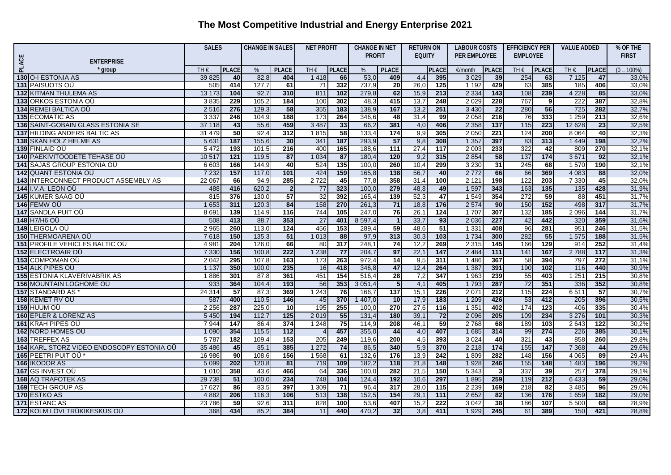|       |                                           |         | <b>SALES</b>    |       | <b>CHANGE IN SALES</b> |                          | <b>NET PROFIT</b> |               | <b>CHANGE IN NET</b> | <b>RETURN ON</b> |                  | <b>LABOUR COSTS</b> |                 | <b>EFFICIENCY PER</b> |              | <b>VALUE ADDED</b> |                  | % OF THE     |
|-------|-------------------------------------------|---------|-----------------|-------|------------------------|--------------------------|-------------------|---------------|----------------------|------------------|------------------|---------------------|-----------------|-----------------------|--------------|--------------------|------------------|--------------|
|       |                                           |         |                 |       |                        |                          |                   | <b>PROFIT</b> |                      | <b>EQUITY</b>    |                  | PER EMPLOYEE        |                 | <b>EMPLOYEE</b>       |              |                    |                  | <b>FIRST</b> |
| PLACE | <b>ENTERPRISE</b>                         |         |                 |       |                        |                          |                   |               |                      |                  |                  |                     |                 |                       |              |                    |                  |              |
|       | * group                                   | TH€     | <b>PLACE</b>    | $\%$  | <b>PLACE</b>           | TH€                      | <b>PLACE</b>      | %             | <b>PLACE</b>         |                  | <b>PLACE</b>     | €/month             | <b>PLACE</b>    | $TH \in$              | <b>PLACE</b> | TH€                | <b>PLACE</b>     | $(0.100\%)$  |
|       | 130 O-I ESTONIA AS                        | 39 825  | 40              | 82,8  | 404                    | 1418                     | 66                | 53,0          | 409                  | 4,4              | 395              | 3 0 2 9             | 39              | 254                   | 63           | 7 1 2 5            | 47               | 33,0%        |
|       | 131 PAISUOTS OU                           | 505     | 414             | 127,7 | 61                     | 71                       | 332               | 737,9         | 20                   | 26,0             | 125              | 1 1 9 2             | 429             | 63                    | 385          | 185                | 406              | 33,0%        |
|       | <b>132 KITMAN THULEMA AS</b>              | 13 173  | 104             | 92,7  | 310                    | 811                      | 102               | 279,8         | 62                   | 15,9             | 213              | 2 3 3 4             | $143$           | 108                   | 239          | 4 2 2 8            | 85               | 33,0%        |
|       | 133 ORKOS ESTONIA OÜ                      | 3835    | 229             | 105,2 | 184                    | 100                      | 302               | 48,3          | 415                  | 13,7             | 248              | 2 0 2 9             | 228             | 767                   | 91           | 222                | 387              | 32,8%        |
|       | <b>134 REMEI BALTICA OU</b>               | 2516    | 276             | 129,3 | 58                     | 355                      | 183               | 138,9         | 167                  | 13,2             | 251              | 3 4 3 0             | 22              | 280                   | 56           | 725                | 282              | 32,7%        |
|       | <b>135 ECOMATIC AS</b>                    | 3 3 3 7 | 246             | 104,9 | 188                    | $\overline{173}$         | 264               | 346,6         | 48                   | 31,4             | 99               | 2 0 5 8             | 216             | 76                    | 333          | 1 2 5 9            | $\overline{213}$ | 32,6%        |
|       | 136 SAINT-GOBAIN GLASS ESTONIA SE         | 37 118  | 43              | 55,6  | 459                    | 3 4 8 7                  | 33                | 66,2          | 381                  | 4,0              | 406              | 2 3 5 8             | 137             | 115                   | 223          | 12 6 28            | $\overline{23}$  | 32,5%        |
|       | 137 HILDING ANDERS BALTIC AS              | 31 479  | 50              | 92,4  | 312                    | 1815                     | 58                | 133,4         | 174                  | 9,9              | 305              | 2 0 5 0             | 221             | $\overline{124}$      | 200          | 8 0 64             | 40               | 32,3%        |
|       | 138 SKAN HOLZ HELME AS                    | 5 6 31  | 187             | 155,6 | 30                     | 341                      | 187               | 293,9         | 57                   | 9,8              | 308              | 1 3 5 7             | 397             | 83                    | 313          | 1 4 4 9            | 198              | 32,2%        |
|       | 139 FINLAID OÜ                            | 5 4 7 2 | 193             | 101,5 | 216                    | 400                      | 165               | 188,6         | $\overline{111}$     | 27,4             | $\frac{1}{117}$  | 2 0 0 3             | 233             | 322                   | 42           | 809                | 270              | 32,1%        |
|       | <b>140 PAEKIVITOODETE TEHASE OU</b>       | 10 517  | $121$           | 119,5 | 87                     | 1 0 34                   | 87                | 180,4         | 120                  | 9,2              | 315              | 2 8 5 4             | 58              | 137                   | $174$        | 3671               | 92               | 32,1%        |
|       | <b>141 SAJAS GROUP ESTONIA OU</b>         | 6 603   | 166             | 144,9 | 40                     | 524                      | 135               | 100,0         | 260                  | 10,4             | 299              | 3 2 3 0             | $\overline{31}$ | 245                   | 68           | 1570               | 190              | 32,1%        |
|       | <b>142 QUANT ESTONIA OU</b>               | 7 2 3 2 | 157             | 117,0 | 101                    | 424                      | 159               | 165,8         | 138                  | 56,              | 40               | 2 7 7 2             | 66              | 66                    | 369          | 4 0 8 3            | 88               | 32,0%        |
|       | 143 INTERCONNECT PRODUCT ASSEMBLY AS      | 22 067  | 66              | 94,9  | 285                    | 2722                     | 45                | 77,8          | 358                  | 31,4             | 100              | 2 1 2 1             | 198             | $\overline{122}$      | 203          | 7 3 3 0            | 45               | 32,0%        |
|       | <b>144 I.V.A. LEON OÜ</b>                 | 488     | 416             | 620,2 | $\overline{2}$         | 77                       | 323               | 100,0         | 279                  | 48,8             | 49               | 1 5 9 7             | 343             | 163                   | 135          | 135                | 428              | 31,9%        |
|       | <b>145 KUMER SAAG OÜ</b>                  | 815     | 376             | 130,0 | 57                     | 32                       | 392               | 165,4         | 139                  | 52,3             | 47               | 1 5 4 9             | 354             | 272                   | 59           | 88                 | 451              | 31,7%        |
|       | 146 FEMW OÜ                               | 1 653   | 311             | 120,3 | 84                     | 158                      | 270               | 261,3         | 71                   | 18,8             | $\frac{1}{176}$  | 2 5 7 4             | 90              | 150                   | $152$        | 498                | 317              | 31,7%        |
|       | 147 SANDLA PUIT OU                        | 8691    | 139             | 114,9 | 116                    | 744                      | 105               | 247,0         | 76                   | 26,1             | 124              | 1 707               | 307             | 132                   | 185          | 2096               | 144              | 31,7%        |
|       | 148 H7/H6 OU                              | 508     | 413             | 88,7  | 353                    | 27                       | 401               | 8 5 9 7,4     | $\overline{1}$       | 33,7             | 93               | 2 0 3 6             | 227             | 42                    | 442          | 320                | 359              | 31,6%        |
|       | 149 LEIGOLA OÜ                            | 2 9 6 5 | 260             | 113,0 | 124                    | 456                      | 153               | 289,4         | 59                   | 48,6             | 51               | 1 3 3 1             | 408             | 96                    | 281          | 951                | 246              | 31,5%        |
|       | 150 THERMOARENA OU                        | 7618    | 150             | 135,3 | 51                     | 1 0 1 3                  | 88                | 97,9          | 313                  | 30,3             | 103              | 1 7 3 4             | 300             | 282                   | 55           | 1575               | 188              | 31,5%        |
|       | <b>151 PROFILE VEHICLES BALTIC OU</b>     | 4 9 8 1 | 204             | 126,0 | 66                     | 80                       | 317               | 248,1         | 74                   | 12,2             | 269              | 2 3 1 5             | 145             | 166                   | 129          | 914                | 252              | 31,4%        |
|       | <b>152 ELECTROAIR OU</b>                  | 7 3 3 0 | 156             | 100,8 | 222                    | 1 2 3 8                  | 77                | 204,7         | 97                   | 22,1             | $147$            | 2 4 8 4             | 111             | 141                   | 167          | 2788               | 117              | 31,3%        |
|       | 153 COMPOMAN OÜ                           | 2 0 4 2 | 295             | 107,8 | 163                    | $\overline{173}$         | 263               | 972,4         | $\overline{14}$      | 9,5              | 311              | 1 4 8 6             | 367             | 58                    | 394          | 797                | $\overline{272}$ | 31,1%        |
|       | 154 ALK PIPES OU                          | 1 1 3 7 | 350             | 100,0 | 235                    | 16                       | 418               | 346,8         | 47                   | 12,4             | 264              | 1 3 8 7             | 391             | 190                   | 102          | 116                | 440              | 30,9%        |
|       | <b>155 ESTONIA KLAVERIVABRIK AS</b>       | 1886    | 301             | 87,8  | 361                    | 451                      | 154               | 516,4         | 28                   | 7,2              | 347              | 1963                | 239             | 55                    | 403          | 1 2 5 1            | 215              | 30,8%        |
|       | 156 MOUNTAIN LOGHOME OÜ                   | 933     | 364             | 104,4 | $\overline{193}$       | 56                       | 353               | 3051,4        | $5\phantom{.0}$      | 4,1              | 405              | 1 7 9 3             | 287             | 72                    | 351          | 336                | 352              | 30,8%        |
|       | <b>157 STANDARD AS</b>                    | 24 314  | $\overline{57}$ | 87,3  | 369                    | 1 2 4 3                  | 76                | 166,7         | 137                  | 15,1             | 226              | 2071                | 212             | 115                   | 224          | 6511               | $-57$            | 30,7%        |
|       | 158 KEMET RV OÜ                           | 587     | 400             | 110,5 | $\frac{146}{ }$        | 45                       | 370               | 1407,0        | 10 <sup>1</sup>      | 17,9             | $\overline{183}$ | 1 2 0 9             | 426             | 53                    | 412          | 205                | 396              | 30,5%        |
|       | 159 HUUM OÜ                               | 2 2 5 6 | 287             | 225,0 | 10                     | 195                      | 255               | 100,0         | 270                  | 27,6             | 116              | 1 3 5 1             | 402             | 174                   | 123          | 406                | 335              | 30,4%        |
|       | <b>160 EPLER &amp; LORENZ AS</b>          | 5 4 5 0 | 194             | 112.7 | $\frac{1}{25}$         | 2 0 1 9                  | 55                | 131,4         | 180                  | 39,1             | $\overline{72}$  | 2 0 9 6             | 205             | 109                   | 234          | 3 2 7 6            | 101              | 30.3%        |
|       | <b>161 KRAH PIPES OÜ</b>                  | 7944    | 147             | 86,4  | 374                    | 1248                     | 75                | 114,9         | 208                  | 46,1             | 59               | 2768                | 68              | 189                   | 103          | 2643               | $\overline{122}$ | 30,2%        |
|       | 162 NORD HOMES OU                         | 1 0 9 0 | 354             | 115,5 | $\overline{112}$       | $\overline{\mathcal{L}}$ | 457               | 355,0         | 44                   | 4,0              | 407              | 1 6 8 5             | 314             | 99                    | 274          | 226                | 385              | 30,1%        |
|       | <b>163 TREFFEX AS</b>                     | 5787    | 182             | 109.4 | 153                    | 205                      | 249               | 119,6         | 200                  | 4,5              | 393              | 3 0 2 4             | 40              | 321                   | 43           | 858                | 260              | 29.8%        |
|       | 164 KARL STORZ VIDEO ENDOSCOPY ESTONIA OÙ | 35 4 86 | 45              | 85,1  | 385                    | 1 2 7 2                  | $\overline{74}$   | 86,5          | 340                  | 5,9              | 370              | 2 2 1 8             | 174             | 155                   | 147          | 7 3 6 8            | 44               | 29,6%        |
|       | 165 PEETRI PUIT OÜ <sup>*</sup>           | 16 986  | 90              | 108.6 | 156                    | 1 5 6 8                  | 61                | 132,6         | 176                  | 13,9             | $\overline{242}$ | 1 809               | 282             | $\overline{148}$      | 156          | 4 0 6 5            | $\overline{89}$  | 29.4%        |
|       | <b>166 IKODOR AS</b>                      | 5 0 9 9 | 202             | 120,8 | 81                     | 719                      | 109               | 182,2         | 118                  | 21,8             | 148              | 1 9 2 8             | 246             | 155                   | 148          | 1 4 8 3            | 196              | 29,2%        |
|       | 167 GS INVEST OU                          | 1 0 1 0 | 358             | 43,6  | 466                    | 64                       | 336               | 100,0         | 282                  | 21,5             | 150              | 5 3 4 3             | $\mathbf{3}$    | 337                   | 39           | 257                | $\overline{378}$ | 29,1%        |
|       | <b>168 AQ TRAFOTEK AS</b>                 | 29 738  | 51              | 100,0 | 234                    | 748                      | 104               | 124.4         | 192                  | 10,6             | 297              | 1895                | 259             | 119                   | 212          | 6433               | 59               | 29.0%        |
|       | <b>169 TECH GROUP AS</b>                  | 17 627  | 86              | 83,5  | 397                    | 1 3 0 9                  | $\overline{71}$   | 96,4          | 317                  | 28,0             | 115              | 2 2 3 9             | 169             | $\overline{218}$      | 82           | 3 4 8 5            | 96               | 29,0%        |
|       | 170 ESTKO AS                              | 4 8 8 2 | 206             | 116.3 | 106                    | 513                      | 138               | 152,5         | 154                  | 29,1             | $\frac{111}{11}$ | 2 6 5 2             | 82              | 136                   | 176          | 1 6 5 9            | $\frac{1}{182}$  | 29.0%        |
|       | <b>171 ESTANC AS</b>                      | 23786   | 59              | 92,6  | 311                    | 828                      | 100               | 53,6          | 407                  | 15,2             | $\overline{222}$ | 3 0 4 2             | 38              | 186                   | 107          | 5 500              | 68               | 28.9%        |
|       | 172 KOLM LÕVI TRÜKIKESKUS OÜ              | 368     | 434             | 85.2  | 384                    | 11                       | 440               | 470,2         | 32                   | $\overline{3.8}$ | 411              | 1929                | 245             | 61                    | 389          | 150                | 421              | 28,8%        |
|       |                                           |         |                 |       |                        |                          |                   |               |                      |                  |                  |                     |                 |                       |              |                    |                  |              |